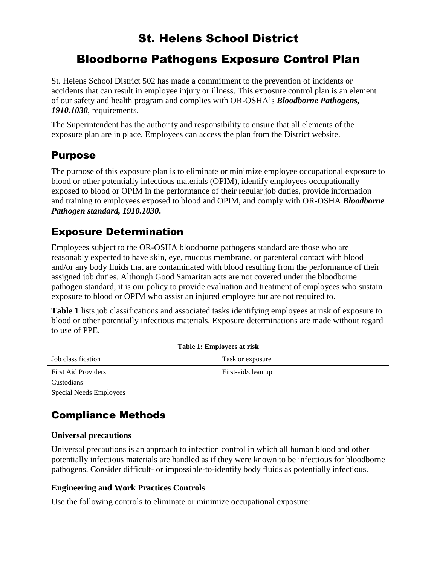# St. Helens School District

# Bloodborne Pathogens Exposure Control Plan

St. Helens School District 502 has made a commitment to the prevention of incidents or accidents that can result in employee injury or illness. This exposure control plan is an element of our safety and health program and complies with OR-OSHA's *Bloodborne Pathogens, 1910.1030*, requirements.

The Superintendent has the authority and responsibility to ensure that all elements of the exposure plan are in place. Employees can access the plan from the District website.

### Purpose

The purpose of this exposure plan is to eliminate or minimize employee occupational exposure to blood or other potentially infectious materials (OPIM), identify employees occupationally exposed to blood or OPIM in the performance of their regular job duties, provide information and training to employees exposed to blood and OPIM, and comply with OR-OSHA *Bloodborne Pathogen standard, 1910.1030***.**

### Exposure Determination

Employees subject to the OR-OSHA bloodborne pathogens standard are those who are reasonably expected to have skin, eye, mucous membrane, or parenteral contact with blood and/or any body fluids that are contaminated with blood resulting from the performance of their assigned job duties. Although Good Samaritan acts are not covered under the bloodborne pathogen standard, it is our policy to provide evaluation and treatment of employees who sustain exposure to blood or OPIM who assist an injured employee but are not required to.

**Table 1** lists job classifications and associated tasks identifying employees at risk of exposure to blood or other potentially infectious materials. Exposure determinations are made without regard to use of PPE.

| Table 1: Employees at risk |                    |
|----------------------------|--------------------|
| Job classification         | Task or exposure   |
| <b>First Aid Providers</b> | First-aid/clean up |
| Custodians                 |                    |
| Special Needs Employees    |                    |

# Compliance Methods

#### **Universal precautions**

Universal precautions is an approach to infection control in which all human blood and other potentially infectious materials are handled as if they were known to be infectious for bloodborne pathogens. Consider difficult- or impossible-to-identify body fluids as potentially infectious.

#### **Engineering and Work Practices Controls**

Use the following controls to eliminate or minimize occupational exposure: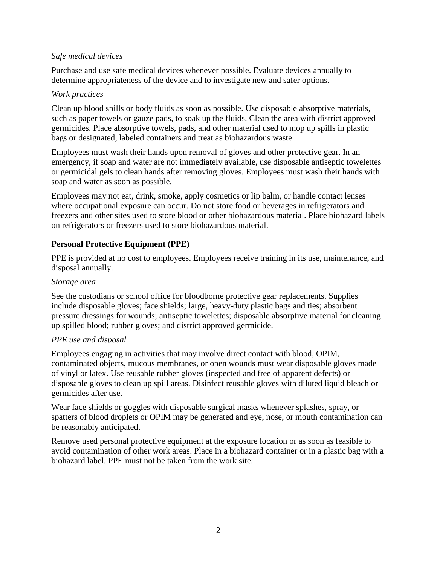#### *Safe medical devices*

Purchase and use safe medical devices whenever possible. Evaluate devices annually to determine appropriateness of the device and to investigate new and safer options.

#### *Work practices*

Clean up blood spills or body fluids as soon as possible. Use disposable absorptive materials, such as paper towels or gauze pads, to soak up the fluids. Clean the area with district approved germicides. Place absorptive towels, pads, and other material used to mop up spills in plastic bags or designated, labeled containers and treat as biohazardous waste.

Employees must wash their hands upon removal of gloves and other protective gear. In an emergency, if soap and water are not immediately available, use disposable antiseptic towelettes or germicidal gels to clean hands after removing gloves. Employees must wash their hands with soap and water as soon as possible.

Employees may not eat, drink, smoke, apply cosmetics or lip balm, or handle contact lenses where occupational exposure can occur. Do not store food or beverages in refrigerators and freezers and other sites used to store blood or other biohazardous material. Place biohazard labels on refrigerators or freezers used to store biohazardous material.

#### **Personal Protective Equipment (PPE)**

PPE is provided at no cost to employees. Employees receive training in its use, maintenance, and disposal annually.

#### *Storage area*

See the custodians or school office for bloodborne protective gear replacements. Supplies include disposable gloves; face shields; large, heavy-duty plastic bags and ties; absorbent pressure dressings for wounds; antiseptic towelettes; disposable absorptive material for cleaning up spilled blood; rubber gloves; and district approved germicide.

#### *PPE use and disposal*

Employees engaging in activities that may involve direct contact with blood, OPIM, contaminated objects, mucous membranes, or open wounds must wear disposable gloves made of vinyl or latex. Use reusable rubber gloves (inspected and free of apparent defects) or disposable gloves to clean up spill areas. Disinfect reusable gloves with diluted liquid bleach or germicides after use.

Wear face shields or goggles with disposable surgical masks whenever splashes, spray, or spatters of blood droplets or OPIM may be generated and eye, nose, or mouth contamination can be reasonably anticipated.

Remove used personal protective equipment at the exposure location or as soon as feasible to avoid contamination of other work areas. Place in a biohazard container or in a plastic bag with a biohazard label. PPE must not be taken from the work site.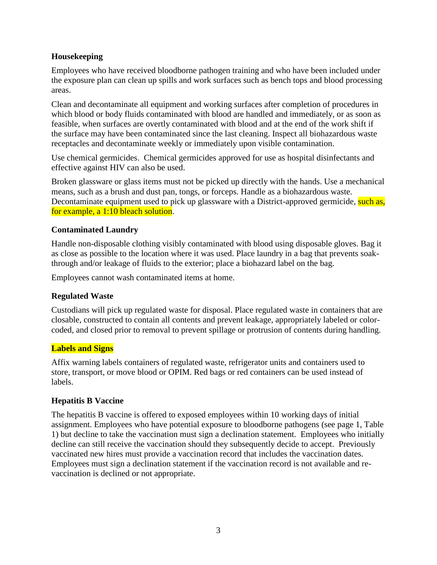#### **Housekeeping**

Employees who have received bloodborne pathogen training and who have been included under the exposure plan can clean up spills and work surfaces such as bench tops and blood processing areas.

Clean and decontaminate all equipment and working surfaces after completion of procedures in which blood or body fluids contaminated with blood are handled and immediately, or as soon as feasible, when surfaces are overtly contaminated with blood and at the end of the work shift if the surface may have been contaminated since the last cleaning. Inspect all biohazardous waste receptacles and decontaminate weekly or immediately upon visible contamination.

Use chemical germicides. Chemical germicides approved for use as hospital disinfectants and effective against HIV can also be used.

Broken glassware or glass items must not be picked up directly with the hands. Use a mechanical means, such as a brush and dust pan, tongs, or forceps. Handle as a biohazardous waste. Decontaminate equipment used to pick up glassware with a District-approved germicide, such as, for example, a 1:10 bleach solution.

#### **Contaminated Laundry**

Handle non-disposable clothing visibly contaminated with blood using disposable gloves. Bag it as close as possible to the location where it was used. Place laundry in a bag that prevents soakthrough and/or leakage of fluids to the exterior; place a biohazard label on the bag.

Employees cannot wash contaminated items at home.

#### **Regulated Waste**

Custodians will pick up regulated waste for disposal. Place regulated waste in containers that are closable, constructed to contain all contents and prevent leakage, appropriately labeled or colorcoded, and closed prior to removal to prevent spillage or protrusion of contents during handling.

#### **Labels and Signs**

Affix warning labels containers of regulated waste, refrigerator units and containers used to store, transport, or move blood or OPIM. Red bags or red containers can be used instead of labels.

#### **Hepatitis B Vaccine**

The hepatitis B vaccine is offered to exposed employees within 10 working days of initial assignment. Employees who have potential exposure to bloodborne pathogens (see page 1, Table 1) but decline to take the vaccination must sign a declination statement. Employees who initially decline can still receive the vaccination should they subsequently decide to accept. Previously vaccinated new hires must provide a vaccination record that includes the vaccination dates. Employees must sign a declination statement if the vaccination record is not available and revaccination is declined or not appropriate.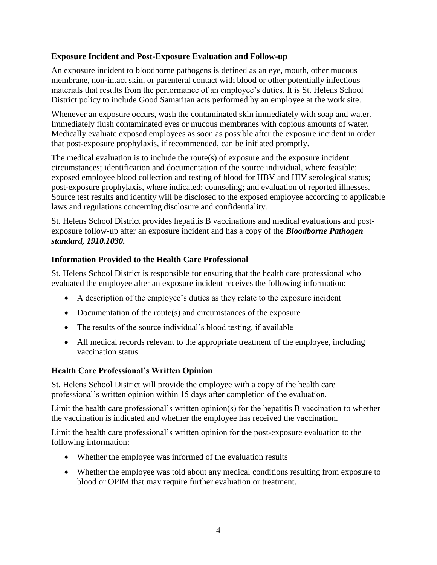#### **Exposure Incident and Post-Exposure Evaluation and Follow-up**

An exposure incident to bloodborne pathogens is defined as an eye, mouth, other mucous membrane, non-intact skin, or parenteral contact with blood or other potentially infectious materials that results from the performance of an employee's duties. It is St. Helens School District policy to include Good Samaritan acts performed by an employee at the work site.

Whenever an exposure occurs, wash the contaminated skin immediately with soap and water. Immediately flush contaminated eyes or mucous membranes with copious amounts of water. Medically evaluate exposed employees as soon as possible after the exposure incident in order that post-exposure prophylaxis, if recommended, can be initiated promptly.

The medical evaluation is to include the route(s) of exposure and the exposure incident circumstances; identification and documentation of the source individual, where feasible; exposed employee blood collection and testing of blood for HBV and HIV serological status; post-exposure prophylaxis, where indicated; counseling; and evaluation of reported illnesses. Source test results and identity will be disclosed to the exposed employee according to applicable laws and regulations concerning disclosure and confidentiality.

St. Helens School District provides hepatitis B vaccinations and medical evaluations and postexposure follow-up after an exposure incident and has a copy of the *Bloodborne Pathogen standard, 1910.1030.*

#### **Information Provided to the Health Care Professional**

St. Helens School District is responsible for ensuring that the health care professional who evaluated the employee after an exposure incident receives the following information:

- A description of the employee's duties as they relate to the exposure incident
- Documentation of the route(s) and circumstances of the exposure
- The results of the source individual's blood testing, if available
- All medical records relevant to the appropriate treatment of the employee, including vaccination status

#### **Health Care Professional's Written Opinion**

St. Helens School District will provide the employee with a copy of the health care professional's written opinion within 15 days after completion of the evaluation.

Limit the health care professional's written opinion(s) for the hepatitis B vaccination to whether the vaccination is indicated and whether the employee has received the vaccination.

Limit the health care professional's written opinion for the post-exposure evaluation to the following information:

- Whether the employee was informed of the evaluation results
- Whether the employee was told about any medical conditions resulting from exposure to blood or OPIM that may require further evaluation or treatment.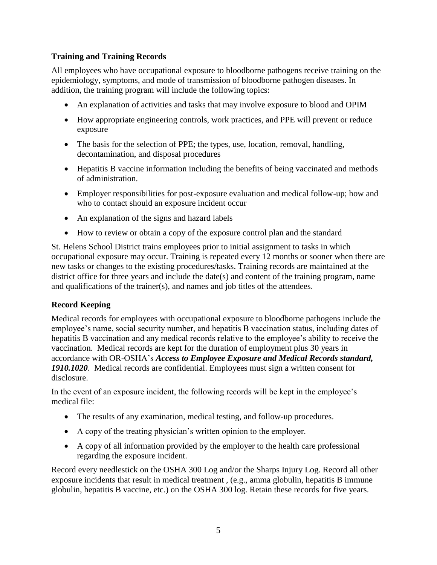#### **Training and Training Records**

All employees who have occupational exposure to bloodborne pathogens receive training on the epidemiology, symptoms, and mode of transmission of bloodborne pathogen diseases. In addition, the training program will include the following topics:

- An explanation of activities and tasks that may involve exposure to blood and OPIM
- How appropriate engineering controls, work practices, and PPE will prevent or reduce exposure
- The basis for the selection of PPE; the types, use, location, removal, handling, decontamination, and disposal procedures
- Hepatitis B vaccine information including the benefits of being vaccinated and methods of administration.
- Employer responsibilities for post-exposure evaluation and medical follow-up; how and who to contact should an exposure incident occur
- An explanation of the signs and hazard labels
- How to review or obtain a copy of the exposure control plan and the standard

St. Helens School District trains employees prior to initial assignment to tasks in which occupational exposure may occur. Training is repeated every 12 months or sooner when there are new tasks or changes to the existing procedures/tasks. Training records are maintained at the district office for three years and include the date(s) and content of the training program, name and qualifications of the trainer(s), and names and job titles of the attendees.

#### **Record Keeping**

Medical records for employees with occupational exposure to bloodborne pathogens include the employee's name, social security number, and hepatitis B vaccination status, including dates of hepatitis B vaccination and any medical records relative to the employee's ability to receive the vaccination. Medical records are kept for the duration of employment plus 30 years in accordance with OR-OSHA's *Access to Employee Exposure and Medical Records standard, 1910.1020*. Medical records are confidential. Employees must sign a written consent for disclosure.

In the event of an exposure incident, the following records will be kept in the employee's medical file:

- The results of any examination, medical testing, and follow-up procedures.
- A copy of the treating physician's written opinion to the employer.
- A copy of all information provided by the employer to the health care professional regarding the exposure incident.

Record every needlestick on the OSHA 300 Log and/or the Sharps Injury Log. Record all other exposure incidents that result in medical treatment , (e.g., amma globulin, hepatitis B immune globulin, hepatitis B vaccine, etc.) on the OSHA 300 log. Retain these records for five years.